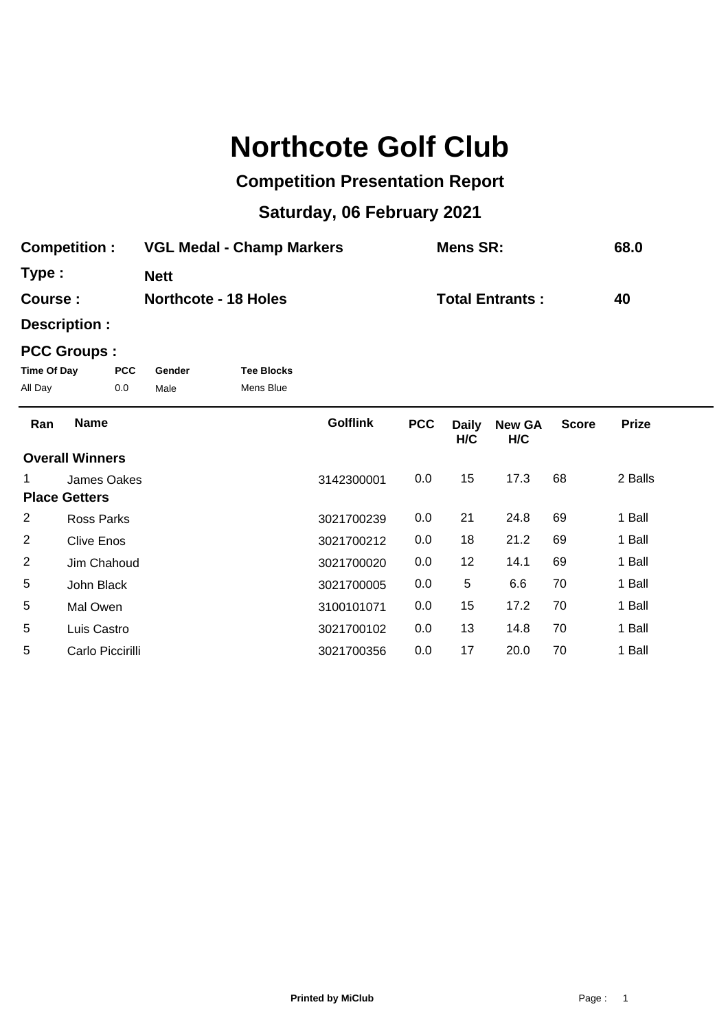## **Northcote Golf Club**

## **Competition Presentation Report**

## **Saturday, 06 February 2021**

| <b>Competition:</b> | <b>VGL Medal - Champ Markers</b> | Mens SR:               | 68.0 |
|---------------------|----------------------------------|------------------------|------|
| Type:               | <b>Nett</b>                      |                        |      |
| Course:             | <b>Northcote - 18 Holes</b>      | <b>Total Entrants:</b> | 40   |

**Description :**

## **PCC Groups :**

| Time Of Day | <b>PCC</b> | Gender | <b>Tee Blocks</b> |
|-------------|------------|--------|-------------------|
| All Day     | 0.0        | Male   | Mens Blue         |

| Ran | <b>Name</b>            | <b>Golflink</b> | <b>PCC</b> | <b>Daily</b><br>H/C | <b>New GA</b><br>H/C | <b>Score</b> | <b>Prize</b> |  |
|-----|------------------------|-----------------|------------|---------------------|----------------------|--------------|--------------|--|
|     | <b>Overall Winners</b> |                 |            |                     |                      |              |              |  |
|     | James Oakes            | 3142300001      | 0.0        | 15                  | 17.3                 | 68           | 2 Balls      |  |
|     | <b>Place Getters</b>   |                 |            |                     |                      |              |              |  |
| 2   | Ross Parks             | 3021700239      | 0.0        | 21                  | 24.8                 | 69           | 1 Ball       |  |
| 2   | <b>Clive Enos</b>      | 3021700212      | 0.0        | 18                  | 21.2                 | 69           | 1 Ball       |  |
| 2   | Jim Chahoud            | 3021700020      | 0.0        | 12                  | 14.1                 | 69           | 1 Ball       |  |
| 5   | John Black             | 3021700005      | 0.0        | 5                   | 6.6                  | 70           | 1 Ball       |  |
| 5   | Mal Owen               | 3100101071      | 0.0        | 15                  | 17.2                 | 70           | 1 Ball       |  |
| 5   | Luis Castro            | 3021700102      | 0.0        | 13                  | 14.8                 | 70           | 1 Ball       |  |
| 5   | Carlo Piccirilli       | 3021700356      | 0.0        | 17                  | 20.0                 | 70           | 1 Ball       |  |